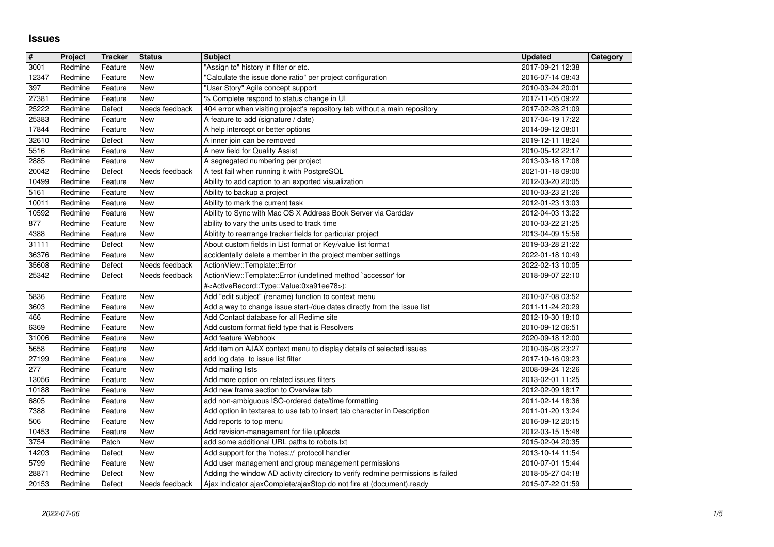## **Issues**

| $\overline{\mathbf{H}}$ | Project            | <b>Tracker</b>     | <b>Status</b>                | <b>Subject</b>                                                                                                                                          | <b>Updated</b>                       | Category |
|-------------------------|--------------------|--------------------|------------------------------|---------------------------------------------------------------------------------------------------------------------------------------------------------|--------------------------------------|----------|
| 3001<br>12347           | Redmine<br>Redmine | Feature<br>Feature | <b>New</b><br>New            | 'Assign to" history in filter or etc.<br>"Calculate the issue done ratio" per project configuration                                                     | 2017-09-21 12:38<br>2016-07-14 08:43 |          |
| 397                     | Redmine            | Feature            | New                          | "User Story" Agile concept support                                                                                                                      | 2010-03-24 20:01                     |          |
| 27381                   | Redmine            | Feature            | New                          | % Complete respond to status change in UI                                                                                                               | 2017-11-05 09:22                     |          |
| 25222<br>25383          | Redmine<br>Redmine | Defect<br>Feature  | Needs feedback<br>New        | 404 error when visiting project's repository tab without a main repository<br>A feature to add (signature / date)                                       | 2017-02-28 21:09<br>2017-04-19 17:22 |          |
| 17844                   | Redmine            | Feature            | New                          | A help intercept or better options                                                                                                                      | 2014-09-12 08:01                     |          |
| 32610<br>5516           | Redmine<br>Redmine | Defect<br>Feature  | New<br>New                   | A inner join can be removed<br>A new field for Quality Assist                                                                                           | 2019-12-11 18:24<br>2010-05-12 22:17 |          |
| 2885                    | Redmine            | Feature            | New                          | A segregated numbering per project                                                                                                                      | 2013-03-18 17:08                     |          |
| 20042                   | Redmine            | Defect             | Needs feedback               | A test fail when running it with PostgreSQL                                                                                                             | 2021-01-18 09:00                     |          |
| 10499<br>5161           | Redmine<br>Redmine | Feature<br>Feature | New<br>New                   | Ability to add caption to an exported visualization<br>Ability to backup a project                                                                      | 2012-03-20 20:05<br>2010-03-23 21:26 |          |
| 10011                   | Redmine            | Feature            | New                          | Ability to mark the current task                                                                                                                        | 2012-01-23 13:03                     |          |
| 10592                   | Redmine            | Feature            | <b>New</b>                   | Ability to Sync with Mac OS X Address Book Server via Carddav                                                                                           | 2012-04-03 13:22                     |          |
| 877<br>4388             | Redmine<br>Redmine | Feature<br>Feature | New<br>New                   | ability to vary the units used to track time<br>Ablitity to rearrange tracker fields for particular project                                             | 2010-03-22 21:25<br>2013-04-09 15:56 |          |
| 31111                   | Redmine            | Defect             | New                          | About custom fields in List format or Key/value list format                                                                                             | 2019-03-28 21:22                     |          |
| 36376<br>35608          | Redmine<br>Redmine | Feature<br>Defect  | New<br>Needs feedback        | accidentally delete a member in the project member settings<br>ActionView::Template::Error                                                              | 2022-01-18 10:49<br>2022-02-13 10:05 |          |
| 25342                   | Redmine            | Defect             | Needs feedback               | ActionView::Template::Error (undefined method `accessor' for                                                                                            | 2018-09-07 22:10                     |          |
|                         |                    |                    | New                          | # <activerecord::type::value:0xa91ee78>):</activerecord::type::value:0xa91ee78>                                                                         | 2010-07-08 03:52                     |          |
| 5836<br>3603            | Redmine<br>Redmine | Feature<br>Feature | <b>New</b>                   | Add "edit subject" (rename) function to context menu<br>Add a way to change issue start-/due dates directly from the issue list                         | 2011-11-24 20:29                     |          |
| 466                     | Redmine            | Feature            | New                          | Add Contact database for all Redime site                                                                                                                | 2012-10-30 18:10                     |          |
| 6369<br>31006           | Redmine<br>Redmine | Feature<br>Feature | <b>New</b><br><b>New</b>     | Add custom format field type that is Resolvers<br>Add feature Webhook                                                                                   | 2010-09-12 06:51<br>2020-09-18 12:00 |          |
| 5658                    | Redmine            | Feature            | New                          | Add item on AJAX context menu to display details of selected issues                                                                                     | 2010-06-08 23:27                     |          |
| 27199                   | Redmine            | Feature            | <b>New</b>                   | add log date to issue list filter                                                                                                                       | 2017-10-16 09:23                     |          |
| 277<br>13056            | Redmine<br>Redmine | Feature<br>Feature | <b>New</b><br>New            | Add mailing lists<br>Add more option on related issues filters                                                                                          | 2008-09-24 12:26<br>2013-02-01 11:25 |          |
| 10188                   | Redmine            | Feature            | <b>New</b>                   | Add new frame section to Overview tab                                                                                                                   | 2012-02-09 18:17                     |          |
| 6805<br>7388            | Redmine<br>Redmine | Feature<br>Feature | New<br>New                   | add non-ambiguous ISO-ordered date/time formatting<br>Add option in textarea to use tab to insert tab character in Description                          | 2011-02-14 18:36<br>2011-01-20 13:24 |          |
| 506                     | Redmine            | Feature            | <b>New</b>                   | Add reports to top menu                                                                                                                                 | 2016-09-12 20:15                     |          |
| 10453                   | Redmine            | Feature            | <b>New</b>                   | Add revision-management for file uploads                                                                                                                | 2012-03-15 15:48                     |          |
| 3754<br>14203           | Redmine<br>Redmine | Patch<br>Defect    | New<br><b>New</b>            | add some additional URL paths to robots.txt<br>Add support for the 'notes://' protocol handler                                                          | 2015-02-04 20:35<br>2013-10-14 11:54 |          |
| 5799                    | Redmine            | Feature            | New                          | Add user management and group management permissions                                                                                                    | 2010-07-01 15:44                     |          |
| 28871<br>20153          | Redmine<br>Redmine | Defect<br>Defect   | <b>New</b><br>Needs feedback | Adding the window AD activity directory to verify redmine permissions is failed<br>Ajax indicator ajaxComplete/ajaxStop do not fire at (document).ready | 2018-05-27 04:18<br>2015-07-22 01:59 |          |
|                         |                    |                    |                              |                                                                                                                                                         |                                      |          |
|                         |                    |                    |                              |                                                                                                                                                         |                                      |          |
|                         |                    |                    |                              |                                                                                                                                                         |                                      |          |
|                         |                    |                    |                              |                                                                                                                                                         |                                      |          |
|                         |                    |                    |                              |                                                                                                                                                         |                                      |          |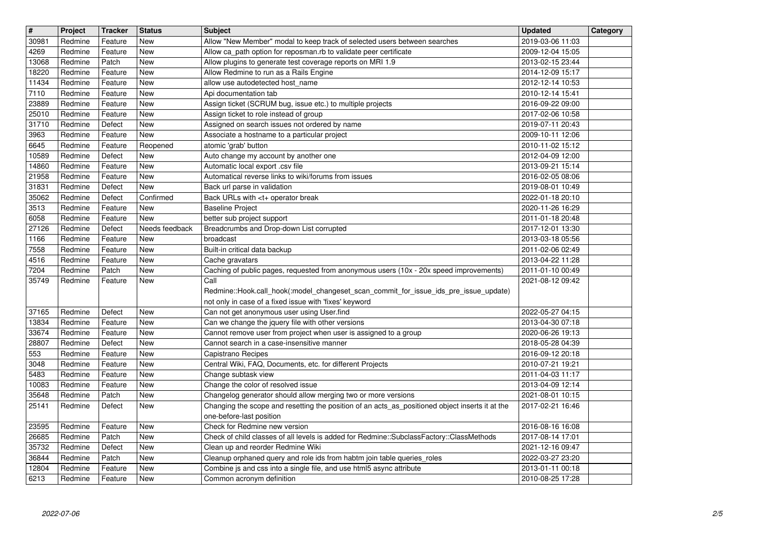| $\overline{\boldsymbol{H}}$ | Project            | <b>Tracker</b>     | <b>Status</b>     | <b>Subject</b>                                                                                                                                  | <b>Updated</b>                       | Category |
|-----------------------------|--------------------|--------------------|-------------------|-------------------------------------------------------------------------------------------------------------------------------------------------|--------------------------------------|----------|
| 30981                       | Redmine            | Feature            | <b>New</b>        | Allow "New Member" modal to keep track of selected users between searches                                                                       | 2019-03-06 11:03                     |          |
| 4269<br>13068               | Redmine<br>Redmine | Feature<br>Patch   | New<br>New        | Allow ca_path option for reposman.rb to validate peer certificate<br>Allow plugins to generate test coverage reports on MRI 1.9                 | 2009-12-04 15:05<br>2013-02-15 23:44 |          |
| 18220                       | Redmine            | Feature            | New               | Allow Redmine to run as a Rails Engine                                                                                                          | 2014-12-09 15:17                     |          |
| 11434                       | Redmine            | Feature            | New               | allow use autodetected host_name                                                                                                                | 2012-12-14 10:53                     |          |
| 7110<br>23889               | Redmine<br>Redmine | Feature<br>Feature | New<br>New        | Api documentation tab<br>Assign ticket (SCRUM bug, issue etc.) to multiple projects                                                             | 2010-12-14 15:41<br>2016-09-22 09:00 |          |
| 25010                       | Redmine            | Feature            | New               | Assign ticket to role instead of group                                                                                                          | 2017-02-06 10:58                     |          |
| 31710<br>3963               | Redmine<br>Redmine | Defect<br>Feature  | New<br>New        | Assigned on search issues not ordered by name<br>Associate a hostname to a particular project                                                   | 2019-07-11 20:43<br>2009-10-11 12:06 |          |
| 6645                        | Redmine            | Feature            | Reopened          | atomic 'grab' button                                                                                                                            | 2010-11-02 15:12                     |          |
| 10589                       | Redmine            | Defect             | <b>New</b>        | Auto change my account by another one                                                                                                           | 2012-04-09 12:00                     |          |
| 14860<br>21958              | Redmine<br>Redmine | Feature<br>Feature | New<br>New        | Automatic local export .csv file<br>Automatical reverse links to wiki/forums from issues                                                        | 2013-09-21 15:14<br>2016-02-05 08:06 |          |
| 31831                       | Redmine            | Defect             | New               | Back url parse in validation                                                                                                                    | 2019-08-01 10:49                     |          |
| 35062<br>3513               | Redmine<br>Redmine | Defect<br>Feature  | Confirmed<br>New  | Back URLs with <t+ break<br="" operator=""><b>Baseline Project</b></t+>                                                                         | 2022-01-18 20:10<br>2020-11-26 16:29 |          |
| 6058                        | Redmine            | Feature            | New               | better sub project support                                                                                                                      | 2011-01-18 20:48                     |          |
| 27126                       | Redmine            | Defect             | Needs feedback    | Breadcrumbs and Drop-down List corrupted                                                                                                        | 2017-12-01 13:30                     |          |
| 1166<br>7558                | Redmine<br>Redmine | Feature<br>Feature | New<br>New        | broadcast<br>Built-in critical data backup                                                                                                      | 2013-03-18 05:56<br>2011-02-06 02:49 |          |
| 4516                        | Redmine            | Feature            | <b>New</b>        | Cache gravatars                                                                                                                                 | 2013-04-22 11:28                     |          |
| 7204<br>35749               | Redmine<br>Redmine | Patch<br>Feature   | New<br>New        | Caching of public pages, requested from anonymous users (10x - 20x speed improvements)<br>Call                                                  | 2011-01-10 00:49<br>2021-08-12 09:42 |          |
|                             |                    |                    |                   | Redmine::Hook.call_hook(:model_changeset_scan_commit_for_issue_ids_pre_issue_update)                                                            |                                      |          |
|                             |                    |                    |                   | not only in case of a fixed issue with 'fixes' keyword                                                                                          |                                      |          |
| 37165<br>13834              | Redmine<br>Redmine | Defect<br>Feature  | New<br>New        | Can not get anonymous user using User.find<br>Can we change the jquery file with other versions                                                 | 2022-05-27 04:15<br>2013-04-30 07:18 |          |
| 33674                       | Redmine            | Feature            | New               | Cannot remove user from project when user is assigned to a group                                                                                | 2020-06-26 19:13                     |          |
| 28807                       | Redmine            | Defect             | New               | Cannot search in a case-insensitive manner                                                                                                      | 2018-05-28 04:39                     |          |
| 553<br>3048                 | Redmine<br>Redmine | Feature<br>Feature | <b>New</b><br>New | Capistrano Recipes<br>Central Wiki, FAQ, Documents, etc. for different Projects                                                                 | 2016-09-12 20:18<br>2010-07-21 19:21 |          |
| 5483                        | Redmine            | Feature            | New               | Change subtask view                                                                                                                             | 2011-04-03 11:17                     |          |
| 10083<br>35648              | Redmine<br>Redmine | Feature<br>Patch   | New<br>New        | Change the color of resolved issue<br>Changelog generator should allow merging two or more versions                                             | 2013-04-09 12:14<br>2021-08-01 10:15 |          |
| 25141                       | Redmine            | Defect             | New               | Changing the scope and resetting the position of an acts_as_positioned object inserts it at the                                                 | 2017-02-21 16:46                     |          |
|                             |                    |                    |                   | one-before-last position                                                                                                                        |                                      |          |
| 23595<br>26685              | Redmine<br>Redmine | Feature<br>Patch   | New<br>New        | Check for Redmine new version<br>Check of child classes of all levels is added for Redmine::SubclassFactory::ClassMethods                       | 2016-08-16 16:08<br>2017-08-14 17:01 |          |
| 35732                       | Redmine            | Defect             | New               | Clean up and reorder Redmine Wiki                                                                                                               | 2021-12-16 09:47                     |          |
| 36844<br>12804              | Redmine<br>Redmine | Patch<br>Feature   | New<br>New        | Cleanup orphaned query and role ids from habtm join table queries_roles<br>Combine js and css into a single file, and use html5 async attribute | 2022-03-27 23:20<br>2013-01-11 00:18 |          |
| 6213                        | Redmine            | Feature            | New               | Common acronym definition                                                                                                                       | 2010-08-25 17:28                     |          |
|                             |                    |                    |                   |                                                                                                                                                 |                                      |          |
|                             |                    |                    |                   |                                                                                                                                                 |                                      |          |
|                             |                    |                    |                   |                                                                                                                                                 |                                      |          |
|                             |                    |                    |                   |                                                                                                                                                 |                                      |          |
|                             |                    |                    |                   |                                                                                                                                                 |                                      |          |
|                             |                    |                    |                   |                                                                                                                                                 |                                      |          |
|                             |                    |                    |                   |                                                                                                                                                 |                                      |          |
|                             |                    |                    |                   |                                                                                                                                                 |                                      |          |
|                             |                    |                    |                   |                                                                                                                                                 |                                      |          |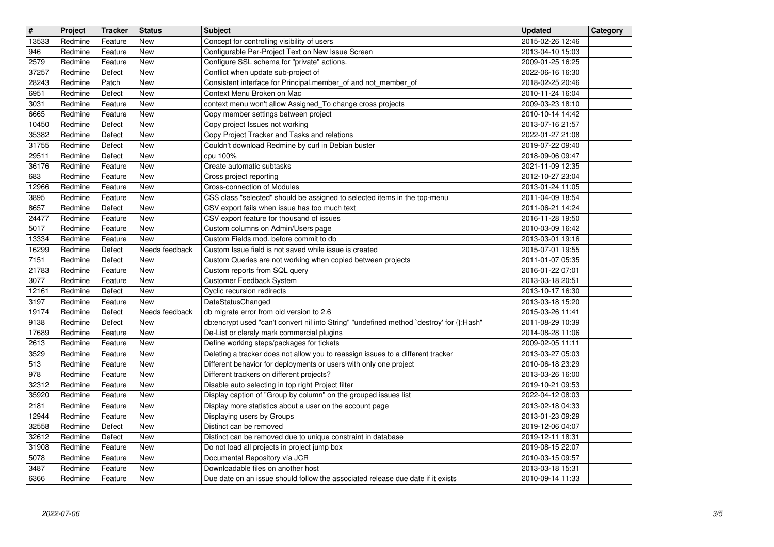| $\overline{\mathbf{H}}$ | Project            | <b>Tracker</b>     | <b>Status</b>            | <b>Subject</b>                                                                                                              | <b>Updated</b>                       | Category |
|-------------------------|--------------------|--------------------|--------------------------|-----------------------------------------------------------------------------------------------------------------------------|--------------------------------------|----------|
| 13533<br>946            | Redmine<br>Redmine | Feature<br>Feature | New<br>New               | Concept for controlling visibility of users<br>Configurable Per-Project Text on New Issue Screen                            | 2015-02-26 12:46<br>2013-04-10 15:03 |          |
| 2579                    | Redmine            | Feature            | <b>New</b>               | Configure SSL schema for "private" actions.                                                                                 | 2009-01-25 16:25                     |          |
| 37257<br>28243          | Redmine<br>Redmine | Defect<br>Patch    | New<br>New               | Conflict when update sub-project of<br>Consistent interface for Principal.member_of and not_member_of                       | 2022-06-16 16:30<br>2018-02-25 20:46 |          |
| 6951                    | Redmine            | Defect             | <b>New</b>               | Context Menu Broken on Mac                                                                                                  | 2010-11-24 16:04                     |          |
| 3031<br>6665            | Redmine<br>Redmine | Feature<br>Feature | New<br>New               | context menu won't allow Assigned_To change cross projects<br>Copy member settings between project                          | 2009-03-23 18:10<br>2010-10-14 14:42 |          |
| 10450                   | Redmine            | Defect             | New                      | Copy project Issues not working                                                                                             | 2013-07-16 21:57                     |          |
| 35382<br>31755          | Redmine<br>Redmine | Defect<br>Defect   | <b>New</b><br><b>New</b> | Copy Project Tracker and Tasks and relations<br>Couldn't download Redmine by curl in Debian buster                          | 2022-01-27 21:08<br>2019-07-22 09:40 |          |
| 29511                   | Redmine            | Defect             | New                      | cpu 100%                                                                                                                    | 2018-09-06 09:47                     |          |
| 36176<br>683            | Redmine<br>Redmine | Feature<br>Feature | New<br>New               | Create automatic subtasks<br>Cross project reporting                                                                        | 2021-11-09 12:35<br>2012-10-27 23:04 |          |
| 12966                   | Redmine            | Feature            | New                      | Cross-connection of Modules                                                                                                 | 2013-01-24 11:05                     |          |
| 3895<br>8657            | Redmine<br>Redmine | Feature<br>Defect  | New<br>New               | CSS class "selected" should be assigned to selected items in the top-menu<br>CSV export fails when issue has too much text  | 2011-04-09 18:54<br>2011-06-21 14:24 |          |
| 24477                   | Redmine            | Feature            | New                      | CSV export feature for thousand of issues                                                                                   | 2016-11-28 19:50                     |          |
| 5017<br>13334           | Redmine<br>Redmine | Feature<br>Feature | New<br>New               | Custom columns on Admin/Users page<br>Custom Fields mod. before commit to db                                                | 2010-03-09 16:42<br>2013-03-01 19:16 |          |
| 16299                   | Redmine            | Defect             | Needs feedback           | Custom Issue field is not saved while issue is created                                                                      | 2015-07-01 19:55                     |          |
| 7151<br>21783           | Redmine<br>Redmine | Defect<br>Feature  | New<br><b>New</b>        | Custom Queries are not working when copied between projects<br>Custom reports from SQL query                                | 2011-01-07 05:35<br>2016-01-22 07:01 |          |
| 3077                    | Redmine            | Feature            | New                      | Customer Feedback System                                                                                                    | 2013-03-18 20:51                     |          |
| 12161                   | Redmine            | Defect             | New                      | Cyclic recursion redirects                                                                                                  | 2013-10-17 16:30                     |          |
| 3197<br>19174           | Redmine<br>Redmine | Feature<br>Defect  | New<br>Needs feedback    | DateStatusChanged<br>db migrate error from old version to 2.6                                                               | 2013-03-18 15:20<br>2015-03-26 11:41 |          |
| 9138                    | Redmine            | Defect             | New                      | db:encrypt used "can't convert nil into String" "undefined method `destroy' for {}:Hash"                                    | 2011-08-29 10:39                     |          |
| 17689<br>2613           | Redmine<br>Redmine | Feature<br>Feature | New<br>New               | De-List or cleraly mark commercial plugins<br>Define working steps/packages for tickets                                     | 2014-08-28 11:06<br>2009-02-05 11:11 |          |
| 3529                    | Redmine            | Feature            | New                      | Deleting a tracker does not allow you to reassign issues to a different tracker                                             | 2013-03-27 05:03                     |          |
| 513<br>978              | Redmine<br>Redmine | Feature<br>Feature | New<br>New               | Different behavior for deployments or users with only one project<br>Different trackers on different projects?              | 2010-06-18 23:29<br>2013-03-26 16:00 |          |
| 32312                   | Redmine            | Feature            | New                      | Disable auto selecting in top right Project filter                                                                          | 2019-10-21 09:53                     |          |
| 35920<br>2181           | Redmine<br>Redmine | Feature<br>Feature | New<br><b>New</b>        | Display caption of "Group by column" on the grouped issues list<br>Display more statistics about a user on the account page | 2022-04-12 08:03<br>2013-02-18 04:33 |          |
| 12944                   | Redmine            | Feature            | New                      | Displaying users by Groups                                                                                                  | 2013-01-23 09:29                     |          |
| 32558<br>32612          | Redmine<br>Redmine | Defect<br>Defect   | New<br>New               | Distinct can be removed<br>Distinct can be removed due to unique constraint in database                                     | 2019-12-06 04:07<br>2019-12-11 18:31 |          |
| 31908                   | Redmine            | Feature            | New                      | Do not load all projects in project jump box                                                                                | 2019-08-15 22:07                     |          |
| 5078<br>3487            | Redmine<br>Redmine | Feature<br>Feature | New<br><b>New</b>        | Documental Repository vía JCR<br>Downloadable files on another host                                                         | 2010-03-15 09:57<br>2013-03-18 15:31 |          |
| 6366                    | Redmine            | Feature            | New                      | Due date on an issue should follow the associated release due date if it exists                                             | 2010-09-14 11:33                     |          |
|                         |                    |                    |                          |                                                                                                                             |                                      |          |
|                         |                    |                    |                          |                                                                                                                             |                                      |          |
|                         |                    |                    |                          |                                                                                                                             |                                      |          |
|                         |                    |                    |                          |                                                                                                                             |                                      |          |
|                         |                    |                    |                          |                                                                                                                             |                                      |          |
|                         |                    |                    |                          |                                                                                                                             |                                      |          |
|                         |                    |                    |                          |                                                                                                                             |                                      |          |
|                         |                    |                    |                          |                                                                                                                             |                                      |          |
|                         |                    |                    |                          |                                                                                                                             |                                      |          |
|                         |                    |                    |                          |                                                                                                                             |                                      |          |
|                         |                    |                    |                          |                                                                                                                             |                                      |          |
|                         |                    |                    |                          |                                                                                                                             |                                      |          |
|                         |                    |                    |                          |                                                                                                                             |                                      |          |
|                         |                    |                    |                          |                                                                                                                             |                                      |          |
|                         |                    |                    |                          |                                                                                                                             |                                      |          |
|                         |                    |                    |                          |                                                                                                                             |                                      |          |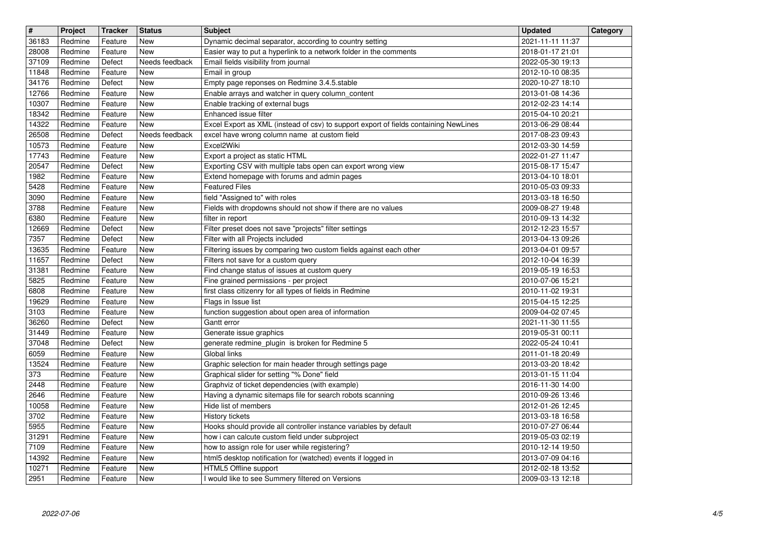| 36183<br>Redmine<br>Feature<br>New<br>Dynamic decimal separator, according to country setting<br>28008<br>Easier way to put a hyperlink to a network folder in the comments<br>Redmine<br>Feature<br><b>New</b><br>37109<br>Redmine<br>Needs feedback<br>Email fields visibility from journal<br>Defect<br>11848<br>Redmine<br>Feature<br>New<br>Email in group<br>34176<br>Empty page reponses on Redmine 3.4.5.stable<br>Defect<br>Redmine<br>New<br>Enable arrays and watcher in query column_content<br>12766<br>Redmine<br>Feature<br>New<br>10307<br>Enable tracking of external bugs<br>Redmine<br>Feature<br>New<br>Enhanced issue filter<br>18342<br>Redmine<br>Feature<br>New<br>14322<br>Excel Export as XML (instead of csv) to support export of fields containing NewLines<br>Redmine<br>Feature<br><b>New</b><br>26508<br>Redmine<br>Defect<br>Needs feedback<br>excel have wrong column name at custom field<br>10573<br>Excel2Wiki<br>Feature<br>New<br>Redmine<br>17743<br>Export a project as static HTML<br>Redmine<br>Feature<br>New<br>Exporting CSV with multiple tabs open can export wrong view<br>20547<br>Redmine<br>Defect<br>New<br>1982<br>Extend homepage with forums and admin pages<br>Redmine<br>Feature<br>New<br>5428<br><b>Featured Files</b><br>Redmine<br>Feature<br>New<br>3090<br>field "Assigned to" with roles<br>Redmine<br>Feature<br>New<br>3788<br>Fields with dropdowns should not show if there are no values<br>Redmine<br>Feature<br>New<br>6380<br>filter in report<br>Redmine<br>Feature<br><b>New</b><br>Filter preset does not save "projects" filter settings<br>12669<br>Redmine<br>Defect<br><b>New</b><br>7357<br>Filter with all Projects included<br>Redmine<br>Defect<br>New<br>13635<br>Redmine<br>Filtering issues by comparing two custom fields against each other<br>Feature<br><b>New</b><br>11657<br>Filters not save for a custom query<br>Redmine<br>Defect<br>New<br>31381<br>Find change status of issues at custom query<br>Redmine<br>Feature<br>New<br>5825<br>Fine grained permissions - per project<br>Redmine<br>Feature<br>New<br>6808<br>first class citizenry for all types of fields in Redmine<br>Redmine<br>Feature<br>New<br>Flags in Issue list<br>19629<br>Redmine<br>Feature<br><b>New</b><br>function suggestion about open area of information<br>3103<br>Redmine<br>Feature<br><b>New</b><br>36260<br>Redmine<br>Defect<br><b>New</b><br>Gantt error<br>31449<br>Generate issue graphics<br>Redmine<br>Feature<br><b>New</b><br>37048<br>generate redmine_plugin is broken for Redmine 5<br>Redmine<br>Defect<br>New<br>6059<br>Global links<br>Redmine<br>Feature<br>New<br>13524<br>Graphic selection for main header through settings page<br>Redmine<br>Feature<br>New<br>Graphical slider for setting "% Done" field<br>373<br>Redmine<br>Feature<br>New<br>2448<br>Graphviz of ticket dependencies (with example)<br>Redmine<br>Feature<br>New<br>2646<br>Having a dynamic sitemaps file for search robots scanning<br>Redmine<br>Feature<br><b>New</b><br>10058<br>Hide list of members<br>Redmine<br>Feature<br><b>New</b><br>3702<br>Redmine<br>Feature<br><b>New</b><br>History tickets<br>5955<br>Redmine<br>Feature<br>New<br>Hooks should provide all controller instance variables by default<br>31291<br>Redmine<br>Feature<br>New<br>how i can calcute custom field under subproject<br>7109<br><b>New</b><br>how to assign role for user while registering?<br>Redmine<br>Feature<br>14392<br>html5 desktop notification for (watched) events if logged in<br>Redmine<br>Feature<br>New<br>10271<br>HTML5 Offline support<br>Redmine<br>Feature<br>New<br>I would like to see Summery filtered on Versions<br>2951<br>Redmine<br>Feature<br>New | 2021-11-11 11:37<br>2018-01-17 21:01<br>2022-05-30 19:13<br>2012-10-10 08:35<br>2020-10-27 18:10<br>2013-01-08 14:36<br>2012-02-23 14:14<br>2015-04-10 20:21<br>2013-06-29 08:44<br>2017-08-23 09:43<br>2012-03-30 14:59<br>2022-01-27 11:47<br>2015-08-17 15:47<br>2013-04-10 18:01<br>2010-05-03 09:33<br>2013-03-18 16:50<br>2009-08-27 19:48<br>2010-09-13 14:32<br>2012-12-23 15:57<br>2013-04-13 09:26<br>2013-04-01 09:57<br>2012-10-04 16:39<br>2019-05-19 16:53<br>2010-07-06 15:21<br>2010-11-02 19:31 |  |
|--------------------------------------------------------------------------------------------------------------------------------------------------------------------------------------------------------------------------------------------------------------------------------------------------------------------------------------------------------------------------------------------------------------------------------------------------------------------------------------------------------------------------------------------------------------------------------------------------------------------------------------------------------------------------------------------------------------------------------------------------------------------------------------------------------------------------------------------------------------------------------------------------------------------------------------------------------------------------------------------------------------------------------------------------------------------------------------------------------------------------------------------------------------------------------------------------------------------------------------------------------------------------------------------------------------------------------------------------------------------------------------------------------------------------------------------------------------------------------------------------------------------------------------------------------------------------------------------------------------------------------------------------------------------------------------------------------------------------------------------------------------------------------------------------------------------------------------------------------------------------------------------------------------------------------------------------------------------------------------------------------------------------------------------------------------------------------------------------------------------------------------------------------------------------------------------------------------------------------------------------------------------------------------------------------------------------------------------------------------------------------------------------------------------------------------------------------------------------------------------------------------------------------------------------------------------------------------------------------------------------------------------------------------------------------------------------------------------------------------------------------------------------------------------------------------------------------------------------------------------------------------------------------------------------------------------------------------------------------------------------------------------------------------------------------------------------------------------------------------------------------------------------------------------------------------------------------------------------------------------------------------------------------------------------------------------------------------------------------------------------------------------------------------------------------------------------------------------------------------------------------------------------------------------------------------------------------------------------------------------------------------------------------------------------------------------------------------------------------------------------------------|------------------------------------------------------------------------------------------------------------------------------------------------------------------------------------------------------------------------------------------------------------------------------------------------------------------------------------------------------------------------------------------------------------------------------------------------------------------------------------------------------------------|--|
|                                                                                                                                                                                                                                                                                                                                                                                                                                                                                                                                                                                                                                                                                                                                                                                                                                                                                                                                                                                                                                                                                                                                                                                                                                                                                                                                                                                                                                                                                                                                                                                                                                                                                                                                                                                                                                                                                                                                                                                                                                                                                                                                                                                                                                                                                                                                                                                                                                                                                                                                                                                                                                                                                                                                                                                                                                                                                                                                                                                                                                                                                                                                                                                                                                                                                                                                                                                                                                                                                                                                                                                                                                                                                                                                                              |                                                                                                                                                                                                                                                                                                                                                                                                                                                                                                                  |  |
|                                                                                                                                                                                                                                                                                                                                                                                                                                                                                                                                                                                                                                                                                                                                                                                                                                                                                                                                                                                                                                                                                                                                                                                                                                                                                                                                                                                                                                                                                                                                                                                                                                                                                                                                                                                                                                                                                                                                                                                                                                                                                                                                                                                                                                                                                                                                                                                                                                                                                                                                                                                                                                                                                                                                                                                                                                                                                                                                                                                                                                                                                                                                                                                                                                                                                                                                                                                                                                                                                                                                                                                                                                                                                                                                                              |                                                                                                                                                                                                                                                                                                                                                                                                                                                                                                                  |  |
|                                                                                                                                                                                                                                                                                                                                                                                                                                                                                                                                                                                                                                                                                                                                                                                                                                                                                                                                                                                                                                                                                                                                                                                                                                                                                                                                                                                                                                                                                                                                                                                                                                                                                                                                                                                                                                                                                                                                                                                                                                                                                                                                                                                                                                                                                                                                                                                                                                                                                                                                                                                                                                                                                                                                                                                                                                                                                                                                                                                                                                                                                                                                                                                                                                                                                                                                                                                                                                                                                                                                                                                                                                                                                                                                                              |                                                                                                                                                                                                                                                                                                                                                                                                                                                                                                                  |  |
|                                                                                                                                                                                                                                                                                                                                                                                                                                                                                                                                                                                                                                                                                                                                                                                                                                                                                                                                                                                                                                                                                                                                                                                                                                                                                                                                                                                                                                                                                                                                                                                                                                                                                                                                                                                                                                                                                                                                                                                                                                                                                                                                                                                                                                                                                                                                                                                                                                                                                                                                                                                                                                                                                                                                                                                                                                                                                                                                                                                                                                                                                                                                                                                                                                                                                                                                                                                                                                                                                                                                                                                                                                                                                                                                                              |                                                                                                                                                                                                                                                                                                                                                                                                                                                                                                                  |  |
|                                                                                                                                                                                                                                                                                                                                                                                                                                                                                                                                                                                                                                                                                                                                                                                                                                                                                                                                                                                                                                                                                                                                                                                                                                                                                                                                                                                                                                                                                                                                                                                                                                                                                                                                                                                                                                                                                                                                                                                                                                                                                                                                                                                                                                                                                                                                                                                                                                                                                                                                                                                                                                                                                                                                                                                                                                                                                                                                                                                                                                                                                                                                                                                                                                                                                                                                                                                                                                                                                                                                                                                                                                                                                                                                                              |                                                                                                                                                                                                                                                                                                                                                                                                                                                                                                                  |  |
|                                                                                                                                                                                                                                                                                                                                                                                                                                                                                                                                                                                                                                                                                                                                                                                                                                                                                                                                                                                                                                                                                                                                                                                                                                                                                                                                                                                                                                                                                                                                                                                                                                                                                                                                                                                                                                                                                                                                                                                                                                                                                                                                                                                                                                                                                                                                                                                                                                                                                                                                                                                                                                                                                                                                                                                                                                                                                                                                                                                                                                                                                                                                                                                                                                                                                                                                                                                                                                                                                                                                                                                                                                                                                                                                                              |                                                                                                                                                                                                                                                                                                                                                                                                                                                                                                                  |  |
|                                                                                                                                                                                                                                                                                                                                                                                                                                                                                                                                                                                                                                                                                                                                                                                                                                                                                                                                                                                                                                                                                                                                                                                                                                                                                                                                                                                                                                                                                                                                                                                                                                                                                                                                                                                                                                                                                                                                                                                                                                                                                                                                                                                                                                                                                                                                                                                                                                                                                                                                                                                                                                                                                                                                                                                                                                                                                                                                                                                                                                                                                                                                                                                                                                                                                                                                                                                                                                                                                                                                                                                                                                                                                                                                                              |                                                                                                                                                                                                                                                                                                                                                                                                                                                                                                                  |  |
|                                                                                                                                                                                                                                                                                                                                                                                                                                                                                                                                                                                                                                                                                                                                                                                                                                                                                                                                                                                                                                                                                                                                                                                                                                                                                                                                                                                                                                                                                                                                                                                                                                                                                                                                                                                                                                                                                                                                                                                                                                                                                                                                                                                                                                                                                                                                                                                                                                                                                                                                                                                                                                                                                                                                                                                                                                                                                                                                                                                                                                                                                                                                                                                                                                                                                                                                                                                                                                                                                                                                                                                                                                                                                                                                                              |                                                                                                                                                                                                                                                                                                                                                                                                                                                                                                                  |  |
|                                                                                                                                                                                                                                                                                                                                                                                                                                                                                                                                                                                                                                                                                                                                                                                                                                                                                                                                                                                                                                                                                                                                                                                                                                                                                                                                                                                                                                                                                                                                                                                                                                                                                                                                                                                                                                                                                                                                                                                                                                                                                                                                                                                                                                                                                                                                                                                                                                                                                                                                                                                                                                                                                                                                                                                                                                                                                                                                                                                                                                                                                                                                                                                                                                                                                                                                                                                                                                                                                                                                                                                                                                                                                                                                                              |                                                                                                                                                                                                                                                                                                                                                                                                                                                                                                                  |  |
|                                                                                                                                                                                                                                                                                                                                                                                                                                                                                                                                                                                                                                                                                                                                                                                                                                                                                                                                                                                                                                                                                                                                                                                                                                                                                                                                                                                                                                                                                                                                                                                                                                                                                                                                                                                                                                                                                                                                                                                                                                                                                                                                                                                                                                                                                                                                                                                                                                                                                                                                                                                                                                                                                                                                                                                                                                                                                                                                                                                                                                                                                                                                                                                                                                                                                                                                                                                                                                                                                                                                                                                                                                                                                                                                                              |                                                                                                                                                                                                                                                                                                                                                                                                                                                                                                                  |  |
|                                                                                                                                                                                                                                                                                                                                                                                                                                                                                                                                                                                                                                                                                                                                                                                                                                                                                                                                                                                                                                                                                                                                                                                                                                                                                                                                                                                                                                                                                                                                                                                                                                                                                                                                                                                                                                                                                                                                                                                                                                                                                                                                                                                                                                                                                                                                                                                                                                                                                                                                                                                                                                                                                                                                                                                                                                                                                                                                                                                                                                                                                                                                                                                                                                                                                                                                                                                                                                                                                                                                                                                                                                                                                                                                                              |                                                                                                                                                                                                                                                                                                                                                                                                                                                                                                                  |  |
|                                                                                                                                                                                                                                                                                                                                                                                                                                                                                                                                                                                                                                                                                                                                                                                                                                                                                                                                                                                                                                                                                                                                                                                                                                                                                                                                                                                                                                                                                                                                                                                                                                                                                                                                                                                                                                                                                                                                                                                                                                                                                                                                                                                                                                                                                                                                                                                                                                                                                                                                                                                                                                                                                                                                                                                                                                                                                                                                                                                                                                                                                                                                                                                                                                                                                                                                                                                                                                                                                                                                                                                                                                                                                                                                                              |                                                                                                                                                                                                                                                                                                                                                                                                                                                                                                                  |  |
|                                                                                                                                                                                                                                                                                                                                                                                                                                                                                                                                                                                                                                                                                                                                                                                                                                                                                                                                                                                                                                                                                                                                                                                                                                                                                                                                                                                                                                                                                                                                                                                                                                                                                                                                                                                                                                                                                                                                                                                                                                                                                                                                                                                                                                                                                                                                                                                                                                                                                                                                                                                                                                                                                                                                                                                                                                                                                                                                                                                                                                                                                                                                                                                                                                                                                                                                                                                                                                                                                                                                                                                                                                                                                                                                                              |                                                                                                                                                                                                                                                                                                                                                                                                                                                                                                                  |  |
|                                                                                                                                                                                                                                                                                                                                                                                                                                                                                                                                                                                                                                                                                                                                                                                                                                                                                                                                                                                                                                                                                                                                                                                                                                                                                                                                                                                                                                                                                                                                                                                                                                                                                                                                                                                                                                                                                                                                                                                                                                                                                                                                                                                                                                                                                                                                                                                                                                                                                                                                                                                                                                                                                                                                                                                                                                                                                                                                                                                                                                                                                                                                                                                                                                                                                                                                                                                                                                                                                                                                                                                                                                                                                                                                                              |                                                                                                                                                                                                                                                                                                                                                                                                                                                                                                                  |  |
|                                                                                                                                                                                                                                                                                                                                                                                                                                                                                                                                                                                                                                                                                                                                                                                                                                                                                                                                                                                                                                                                                                                                                                                                                                                                                                                                                                                                                                                                                                                                                                                                                                                                                                                                                                                                                                                                                                                                                                                                                                                                                                                                                                                                                                                                                                                                                                                                                                                                                                                                                                                                                                                                                                                                                                                                                                                                                                                                                                                                                                                                                                                                                                                                                                                                                                                                                                                                                                                                                                                                                                                                                                                                                                                                                              |                                                                                                                                                                                                                                                                                                                                                                                                                                                                                                                  |  |
|                                                                                                                                                                                                                                                                                                                                                                                                                                                                                                                                                                                                                                                                                                                                                                                                                                                                                                                                                                                                                                                                                                                                                                                                                                                                                                                                                                                                                                                                                                                                                                                                                                                                                                                                                                                                                                                                                                                                                                                                                                                                                                                                                                                                                                                                                                                                                                                                                                                                                                                                                                                                                                                                                                                                                                                                                                                                                                                                                                                                                                                                                                                                                                                                                                                                                                                                                                                                                                                                                                                                                                                                                                                                                                                                                              |                                                                                                                                                                                                                                                                                                                                                                                                                                                                                                                  |  |
|                                                                                                                                                                                                                                                                                                                                                                                                                                                                                                                                                                                                                                                                                                                                                                                                                                                                                                                                                                                                                                                                                                                                                                                                                                                                                                                                                                                                                                                                                                                                                                                                                                                                                                                                                                                                                                                                                                                                                                                                                                                                                                                                                                                                                                                                                                                                                                                                                                                                                                                                                                                                                                                                                                                                                                                                                                                                                                                                                                                                                                                                                                                                                                                                                                                                                                                                                                                                                                                                                                                                                                                                                                                                                                                                                              |                                                                                                                                                                                                                                                                                                                                                                                                                                                                                                                  |  |
|                                                                                                                                                                                                                                                                                                                                                                                                                                                                                                                                                                                                                                                                                                                                                                                                                                                                                                                                                                                                                                                                                                                                                                                                                                                                                                                                                                                                                                                                                                                                                                                                                                                                                                                                                                                                                                                                                                                                                                                                                                                                                                                                                                                                                                                                                                                                                                                                                                                                                                                                                                                                                                                                                                                                                                                                                                                                                                                                                                                                                                                                                                                                                                                                                                                                                                                                                                                                                                                                                                                                                                                                                                                                                                                                                              | 2015-04-15 12:25                                                                                                                                                                                                                                                                                                                                                                                                                                                                                                 |  |
|                                                                                                                                                                                                                                                                                                                                                                                                                                                                                                                                                                                                                                                                                                                                                                                                                                                                                                                                                                                                                                                                                                                                                                                                                                                                                                                                                                                                                                                                                                                                                                                                                                                                                                                                                                                                                                                                                                                                                                                                                                                                                                                                                                                                                                                                                                                                                                                                                                                                                                                                                                                                                                                                                                                                                                                                                                                                                                                                                                                                                                                                                                                                                                                                                                                                                                                                                                                                                                                                                                                                                                                                                                                                                                                                                              | 2009-04-02 07:45<br>2021-11-30 11:55                                                                                                                                                                                                                                                                                                                                                                                                                                                                             |  |
|                                                                                                                                                                                                                                                                                                                                                                                                                                                                                                                                                                                                                                                                                                                                                                                                                                                                                                                                                                                                                                                                                                                                                                                                                                                                                                                                                                                                                                                                                                                                                                                                                                                                                                                                                                                                                                                                                                                                                                                                                                                                                                                                                                                                                                                                                                                                                                                                                                                                                                                                                                                                                                                                                                                                                                                                                                                                                                                                                                                                                                                                                                                                                                                                                                                                                                                                                                                                                                                                                                                                                                                                                                                                                                                                                              | 2019-05-31 00:11                                                                                                                                                                                                                                                                                                                                                                                                                                                                                                 |  |
|                                                                                                                                                                                                                                                                                                                                                                                                                                                                                                                                                                                                                                                                                                                                                                                                                                                                                                                                                                                                                                                                                                                                                                                                                                                                                                                                                                                                                                                                                                                                                                                                                                                                                                                                                                                                                                                                                                                                                                                                                                                                                                                                                                                                                                                                                                                                                                                                                                                                                                                                                                                                                                                                                                                                                                                                                                                                                                                                                                                                                                                                                                                                                                                                                                                                                                                                                                                                                                                                                                                                                                                                                                                                                                                                                              | 2022-05-24 10:41<br>2011-01-18 20:49                                                                                                                                                                                                                                                                                                                                                                                                                                                                             |  |
|                                                                                                                                                                                                                                                                                                                                                                                                                                                                                                                                                                                                                                                                                                                                                                                                                                                                                                                                                                                                                                                                                                                                                                                                                                                                                                                                                                                                                                                                                                                                                                                                                                                                                                                                                                                                                                                                                                                                                                                                                                                                                                                                                                                                                                                                                                                                                                                                                                                                                                                                                                                                                                                                                                                                                                                                                                                                                                                                                                                                                                                                                                                                                                                                                                                                                                                                                                                                                                                                                                                                                                                                                                                                                                                                                              | 2013-03-20 18:42                                                                                                                                                                                                                                                                                                                                                                                                                                                                                                 |  |
|                                                                                                                                                                                                                                                                                                                                                                                                                                                                                                                                                                                                                                                                                                                                                                                                                                                                                                                                                                                                                                                                                                                                                                                                                                                                                                                                                                                                                                                                                                                                                                                                                                                                                                                                                                                                                                                                                                                                                                                                                                                                                                                                                                                                                                                                                                                                                                                                                                                                                                                                                                                                                                                                                                                                                                                                                                                                                                                                                                                                                                                                                                                                                                                                                                                                                                                                                                                                                                                                                                                                                                                                                                                                                                                                                              | 2013-01-15 11:04                                                                                                                                                                                                                                                                                                                                                                                                                                                                                                 |  |
|                                                                                                                                                                                                                                                                                                                                                                                                                                                                                                                                                                                                                                                                                                                                                                                                                                                                                                                                                                                                                                                                                                                                                                                                                                                                                                                                                                                                                                                                                                                                                                                                                                                                                                                                                                                                                                                                                                                                                                                                                                                                                                                                                                                                                                                                                                                                                                                                                                                                                                                                                                                                                                                                                                                                                                                                                                                                                                                                                                                                                                                                                                                                                                                                                                                                                                                                                                                                                                                                                                                                                                                                                                                                                                                                                              | 2016-11-30 14:00<br>2010-09-26 13:46                                                                                                                                                                                                                                                                                                                                                                                                                                                                             |  |
|                                                                                                                                                                                                                                                                                                                                                                                                                                                                                                                                                                                                                                                                                                                                                                                                                                                                                                                                                                                                                                                                                                                                                                                                                                                                                                                                                                                                                                                                                                                                                                                                                                                                                                                                                                                                                                                                                                                                                                                                                                                                                                                                                                                                                                                                                                                                                                                                                                                                                                                                                                                                                                                                                                                                                                                                                                                                                                                                                                                                                                                                                                                                                                                                                                                                                                                                                                                                                                                                                                                                                                                                                                                                                                                                                              | 2012-01-26 12:45                                                                                                                                                                                                                                                                                                                                                                                                                                                                                                 |  |
|                                                                                                                                                                                                                                                                                                                                                                                                                                                                                                                                                                                                                                                                                                                                                                                                                                                                                                                                                                                                                                                                                                                                                                                                                                                                                                                                                                                                                                                                                                                                                                                                                                                                                                                                                                                                                                                                                                                                                                                                                                                                                                                                                                                                                                                                                                                                                                                                                                                                                                                                                                                                                                                                                                                                                                                                                                                                                                                                                                                                                                                                                                                                                                                                                                                                                                                                                                                                                                                                                                                                                                                                                                                                                                                                                              | 2013-03-18 16:58<br>2010-07-27 06:44                                                                                                                                                                                                                                                                                                                                                                                                                                                                             |  |
|                                                                                                                                                                                                                                                                                                                                                                                                                                                                                                                                                                                                                                                                                                                                                                                                                                                                                                                                                                                                                                                                                                                                                                                                                                                                                                                                                                                                                                                                                                                                                                                                                                                                                                                                                                                                                                                                                                                                                                                                                                                                                                                                                                                                                                                                                                                                                                                                                                                                                                                                                                                                                                                                                                                                                                                                                                                                                                                                                                                                                                                                                                                                                                                                                                                                                                                                                                                                                                                                                                                                                                                                                                                                                                                                                              | 2019-05-03 02:19                                                                                                                                                                                                                                                                                                                                                                                                                                                                                                 |  |
|                                                                                                                                                                                                                                                                                                                                                                                                                                                                                                                                                                                                                                                                                                                                                                                                                                                                                                                                                                                                                                                                                                                                                                                                                                                                                                                                                                                                                                                                                                                                                                                                                                                                                                                                                                                                                                                                                                                                                                                                                                                                                                                                                                                                                                                                                                                                                                                                                                                                                                                                                                                                                                                                                                                                                                                                                                                                                                                                                                                                                                                                                                                                                                                                                                                                                                                                                                                                                                                                                                                                                                                                                                                                                                                                                              | 2010-12-14 19:50<br>2013-07-09 04:16                                                                                                                                                                                                                                                                                                                                                                                                                                                                             |  |
|                                                                                                                                                                                                                                                                                                                                                                                                                                                                                                                                                                                                                                                                                                                                                                                                                                                                                                                                                                                                                                                                                                                                                                                                                                                                                                                                                                                                                                                                                                                                                                                                                                                                                                                                                                                                                                                                                                                                                                                                                                                                                                                                                                                                                                                                                                                                                                                                                                                                                                                                                                                                                                                                                                                                                                                                                                                                                                                                                                                                                                                                                                                                                                                                                                                                                                                                                                                                                                                                                                                                                                                                                                                                                                                                                              | 2012-02-18 13:52<br>2009-03-13 12:18                                                                                                                                                                                                                                                                                                                                                                                                                                                                             |  |
|                                                                                                                                                                                                                                                                                                                                                                                                                                                                                                                                                                                                                                                                                                                                                                                                                                                                                                                                                                                                                                                                                                                                                                                                                                                                                                                                                                                                                                                                                                                                                                                                                                                                                                                                                                                                                                                                                                                                                                                                                                                                                                                                                                                                                                                                                                                                                                                                                                                                                                                                                                                                                                                                                                                                                                                                                                                                                                                                                                                                                                                                                                                                                                                                                                                                                                                                                                                                                                                                                                                                                                                                                                                                                                                                                              |                                                                                                                                                                                                                                                                                                                                                                                                                                                                                                                  |  |
|                                                                                                                                                                                                                                                                                                                                                                                                                                                                                                                                                                                                                                                                                                                                                                                                                                                                                                                                                                                                                                                                                                                                                                                                                                                                                                                                                                                                                                                                                                                                                                                                                                                                                                                                                                                                                                                                                                                                                                                                                                                                                                                                                                                                                                                                                                                                                                                                                                                                                                                                                                                                                                                                                                                                                                                                                                                                                                                                                                                                                                                                                                                                                                                                                                                                                                                                                                                                                                                                                                                                                                                                                                                                                                                                                              |                                                                                                                                                                                                                                                                                                                                                                                                                                                                                                                  |  |
|                                                                                                                                                                                                                                                                                                                                                                                                                                                                                                                                                                                                                                                                                                                                                                                                                                                                                                                                                                                                                                                                                                                                                                                                                                                                                                                                                                                                                                                                                                                                                                                                                                                                                                                                                                                                                                                                                                                                                                                                                                                                                                                                                                                                                                                                                                                                                                                                                                                                                                                                                                                                                                                                                                                                                                                                                                                                                                                                                                                                                                                                                                                                                                                                                                                                                                                                                                                                                                                                                                                                                                                                                                                                                                                                                              |                                                                                                                                                                                                                                                                                                                                                                                                                                                                                                                  |  |
|                                                                                                                                                                                                                                                                                                                                                                                                                                                                                                                                                                                                                                                                                                                                                                                                                                                                                                                                                                                                                                                                                                                                                                                                                                                                                                                                                                                                                                                                                                                                                                                                                                                                                                                                                                                                                                                                                                                                                                                                                                                                                                                                                                                                                                                                                                                                                                                                                                                                                                                                                                                                                                                                                                                                                                                                                                                                                                                                                                                                                                                                                                                                                                                                                                                                                                                                                                                                                                                                                                                                                                                                                                                                                                                                                              |                                                                                                                                                                                                                                                                                                                                                                                                                                                                                                                  |  |
|                                                                                                                                                                                                                                                                                                                                                                                                                                                                                                                                                                                                                                                                                                                                                                                                                                                                                                                                                                                                                                                                                                                                                                                                                                                                                                                                                                                                                                                                                                                                                                                                                                                                                                                                                                                                                                                                                                                                                                                                                                                                                                                                                                                                                                                                                                                                                                                                                                                                                                                                                                                                                                                                                                                                                                                                                                                                                                                                                                                                                                                                                                                                                                                                                                                                                                                                                                                                                                                                                                                                                                                                                                                                                                                                                              |                                                                                                                                                                                                                                                                                                                                                                                                                                                                                                                  |  |
|                                                                                                                                                                                                                                                                                                                                                                                                                                                                                                                                                                                                                                                                                                                                                                                                                                                                                                                                                                                                                                                                                                                                                                                                                                                                                                                                                                                                                                                                                                                                                                                                                                                                                                                                                                                                                                                                                                                                                                                                                                                                                                                                                                                                                                                                                                                                                                                                                                                                                                                                                                                                                                                                                                                                                                                                                                                                                                                                                                                                                                                                                                                                                                                                                                                                                                                                                                                                                                                                                                                                                                                                                                                                                                                                                              |                                                                                                                                                                                                                                                                                                                                                                                                                                                                                                                  |  |